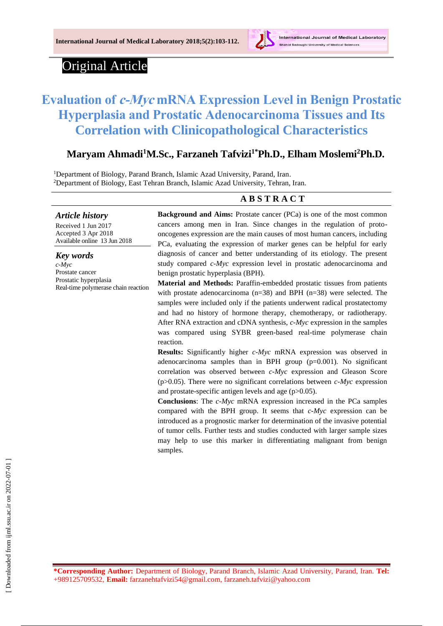

# Original Article

# **Evaluation of c-Myc mRNA Expression Level in Benign Prostatic Hyperplasia and Prostatic Adenocarcinoma Tissues and Its Correlation with Clinicopathological Characteristics**

# **Maryam Ahmadi<sup>1</sup>M.Sc., Farzaneh Tafvizi1\*Ph.D., Elham Moslemi<sup>2</sup>Ph.D.**

<sup>1</sup>Department of Biology, Parand Branch, Islamic Azad University, Parand, Iran. <sup>2</sup>Department of Biology, East Tehran Branch, Islamic Azad University, Tehran, Iran.

#### **A B S T R A C T**

*Article history*

Received 1 Jun 2017 Accepted 3 Apr 2018 Available online 13 Jun 2018

*Key words c-Myc*  Prostate cancer Prostatic hyperplasia Real-time polymerase chain reaction **Background and Aims:** Prostate cancer (PCa) is one of the most common cancers among men in Iran. Since changes in the regulation of protooncogenes expression are the main causes of most human cancers, including PCa, evaluating the expression of marker genes can be helpful for early diagnosis of cancer and better understanding of its etiology. The present study compared *c-Myc* expression level in prostatic adenocarcinoma and benign prostatic hyperplasia (BPH).

**Material and Methods:** Paraffin-embedded prostatic tissues from patients with prostate adenocarcinoma (n=38) and BPH (n=38) were selected. The samples were included only if the patients underwent radical prostatectomy and had no history of hormone therapy, chemotherapy, or radiotherapy. After RNA extraction and cDNA synthesis, *c-Myc* expression in the samples was compared using SYBR green-based real-time polymerase chain reaction.

**Results:** Significantly higher *c-Myc* mRNA expression was observed in adenocarcinoma samples than in BPH group (p=0.001). No significant correlation was observed between *c-Myc* expression and Gleason Score (p>0.05). There were no significant correlations between *c-Myc* expression and prostate-specific antigen levels and age (p>0.05).

**Conclusions**: The *c-Myc* mRNA expression increased in the PCa samples compared with the BPH group. It seems that *c-Myc* expression can be introduced as a prognostic marker for determination of the invasive potential of tumor cells. Further tests and studies conducted with larger sample sizes may help to use this marker in differentiating malignant from benign samples.

**\*Corresponding Author:** Department of Biology, Parand Branch, Islamic Azad University, Parand, Iran. **Tel:** +989125709532, **Email:** [farzanehtafvizi54@gmail.com,](mailto:farzanehtafvizi54@gmail.com) [farzaneh.tafvizi@yahoo.com](mailto:farzaneh.tafvizi@yahoo.com)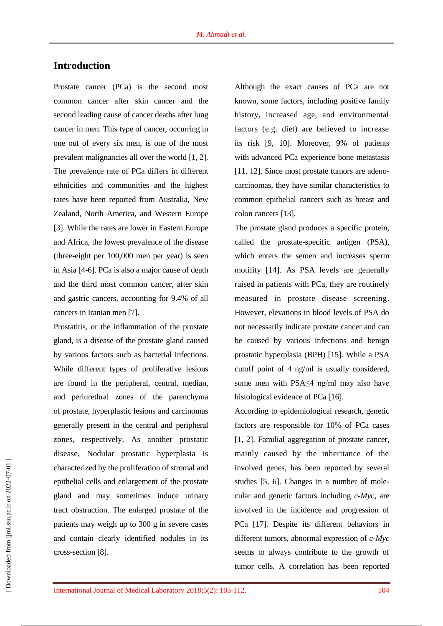# **Introduction**

Prostate cancer (PCa) is the second most common cancer after skin cancer and the second leading cause of cancer deaths after lung cancer in men. This type of cancer, occurring in one out of every six men, is one of the most prevalent malignancies all over the world [1, 2]. The prevalence rate of PCa differs in different ethnicities and communities and the highest rates have been reported from Australia, New Zealand, North America, and Western Europe [3]. While the rates are lower in Eastern Europe and Africa, the lowest prevalence of the disease (three-eight per 100,000 men per year) is seen in Asia [4-6]. PCa is also a major cause of death and the third most common cancer, after skin and gastric cancers, accounting for 9.4% of all cancers in Iranian men [7].

Prostatitis, or the inflammation of the prostate gland, is a disease of the prostate gland caused by various factors such as bacterial infections. While different types of proliferative lesions are found in the peripheral, central, median, and periurethral zones of the parenchyma of prostate, hyperplastic lesions and carcinomas generally present in the central and peripheral zones, respectively. As another prostatic disease, Nodular prostatic hyperplasia is characterized by the proliferation of stromal and epithelial cells and enlargement of the prostate gland and may sometimes induce urinary tract obstruction. The enlarged prostate of the patients may weigh up to 300 g in severe cases and contain clearly identified nodules in its cross-section [8].

Although the exact causes of PCa are not known, some factors, including positive family history, increased age, and environmental factors (e.g. diet) are believed to increase its risk [9, 10]. Moreover, 9% of patients with advanced PCa experience bone metastasis [11, 12]. Since most prostate tumors are adenocarcinomas, they have similar characteristics to common epithelial cancers such as breast and colon cancers [13].

The prostate gland produces a specific protein, called the prostate-specific antigen (PSA), which enters the semen and increases sperm motility [14]. As PSA levels are generally raised in patients with PCa, they are routinely measured in prostate disease screening. However, elevations in blood levels of PSA do not necessarily indicate prostate cancer and can be caused by various infections and benign prostatic hyperplasia (BPH) [15]. While a PSA cutoff point of 4 ng/ml is usually considered, some men with PSA≤4 ng/ml may also have histological evidence of PCa [16].

According to epidemiological research, genetic factors are responsible for 10% of PCa cases [1, 2]. Familial aggregation of prostate cancer, mainly caused by the inheritance of the involved genes, has been reported by several studies [5, 6]. Changes in a number of molecular and genetic factors including *c-Myc*, are involved in the incidence and progression of PCa [17]. Despite its different behaviors in different tumors, abnormal expression of *c-Myc* seems to always contribute to the growth of tumor cells. A correlation has been reported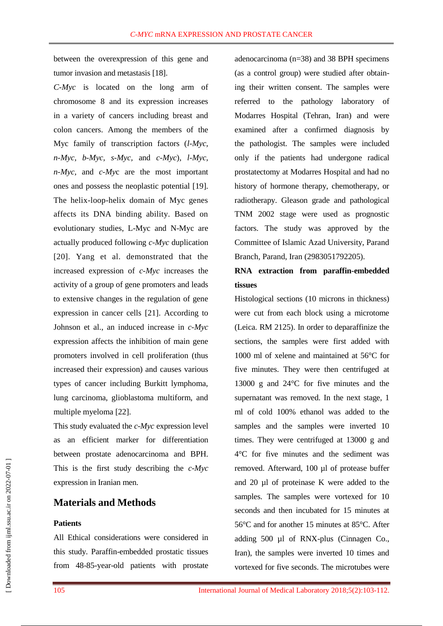between the overexpression of this gene and tumor invasion and metastasis [18].

*C-Myc* is located on the long arm of chromosome 8 and its expression increases in a variety of cancers including breast and colon cancers. Among the members of the Myc family of transcription factors (*l-Myc, n-Myc, b-Myc, s-Myc,* and *c-Myc*)*, l-Myc, n-Myc,* and *c-My*c are the most important ones and possess the neoplastic potential [19]. The helix-loop-helix domain of Myc genes affects its DNA binding ability. Based on evolutionary studies, L-Myc and N-Myc are actually produced following *c-Myc* duplication [20]. Yang et al. demonstrated that the increased expression of *c-Myc* increases the activity of a group of gene promoters and leads to extensive changes in the regulation of gene expression in cancer cells [21]. According to Johnson et al., an induced increase in *c-Myc* expression affects the inhibition of main gene promoters involved in cell proliferation (thus increased their expression) and causes various types of cancer including Burkitt lymphoma, lung carcinoma, glioblastoma multiform, and multiple myeloma [22].

This study evaluated the *c-Myc* expression level as an efficient marker for differentiation between prostate adenocarcinoma and BPH. This is the first study describing the *c-Myc* expression in Iranian men.

# **Materials and Methods**

#### **Patients**

All Ethical considerations were considered in this study. Paraffin-embedded prostatic tissues from 48-85-year-old patients with prostate adenocarcinoma (n=38) and 38 BPH specimens (as a control group) were studied after obtaining their written consent. The samples were referred to the pathology laboratory of Modarres Hospital (Tehran, Iran) and were examined after a confirmed diagnosis by the pathologist. The samples were included only if the patients had undergone radical prostatectomy at Modarres Hospital and had no history of hormone therapy, chemotherapy, or radiotherapy. Gleason grade and pathological TNM 2002 stage were used as prognostic factors. The study was approved by the Committee of Islamic Azad University, Parand Branch, Parand, Iran (2983051792205).

# **RNA extraction from paraffin-embedded tissues**

Histological sections (10 microns in thickness) were cut from each block using a microtome (Leica. RM 2125). In order to deparaffinize the sections, the samples were first added with 1000 ml of xelene and maintained at 56°C for five minutes. They were then centrifuged at 13000 g and 24°C for five minutes and the supernatant was removed. In the next stage, 1 ml of cold 100% ethanol was added to the samples and the samples were inverted 10 times. They were centrifuged at 13000 g and 4°C for five minutes and the sediment was removed. Afterward, 100 µl of protease buffer and 20 µl of proteinase K were added to the samples. The samples were vortexed for 10 seconds and then incubated for 15 minutes at 56°C and for another 15 minutes at 85°C. After adding 500 µl of RNX-plus (Cinnagen Co., Iran), the samples were inverted 10 times and vortexed for five seconds. The microtubes were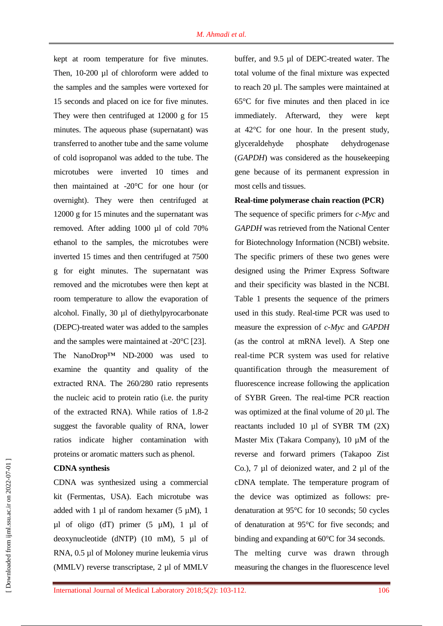kept at room temperature for five minutes. Then, 10-200 µl of chloroform were added to the samples and the samples were vortexed for 15 seconds and placed on ice for five minutes. They were then centrifuged at 12000 g for 15 minutes. The aqueous phase (supernatant) was transferred to another tube and the same volume of cold isopropanol was added to the tube. The microtubes were inverted 10 times and then maintained at -20°C for one hour (or overnight). They were then centrifuged at 12000 g for 15 minutes and the supernatant was removed. After adding 1000 µl of cold 70% ethanol to the samples, the microtubes were inverted 15 times and then centrifuged at 7500 g for eight minutes. The supernatant was removed and the microtubes were then kept at room temperature to allow the evaporation of alcohol. Finally, 30 µl of diethylpyrocarbonate (DEPC)-treated water was added to the samples and the samples were maintained at -20°C [23]. The NanoDrop™ ND-2000 was used to examine the quantity and quality of the extracted RNA. The 260/280 ratio represents the nucleic acid to protein ratio (i.e. the purity of the extracted RNA). While ratios of 1.8-2 suggest the favorable quality of RNA, lower ratios indicate higher contamination with proteins or aromatic matters such as phenol.

#### **CDNA synthesis**

CDNA was synthesized using a commercial kit (Fermentas, USA). Each microtube was added with 1  $\mu$ l of random hexamer (5  $\mu$ M), 1  $\mu$ l of oligo (dT) primer (5  $\mu$ M), 1  $\mu$ l of deoxynucleotide (dNTP) (10 mM), 5 µl of RNA, 0.5 µl of Moloney murine leukemia virus (MMLV) reverse transcriptase, 2 µl of MMLV

buffer, and 9.5 µl of DEPC-treated water. The total volume of the final mixture was expected to reach 20 µl. The samples were maintained at 65°C for five minutes and then placed in ice immediately. Afterward, they were kept at 42°C for one hour. In the present study, glyceraldehyde phosphate dehydrogenase (*GAPDH*) was considered as the housekeeping gene because of its permanent expression in most cells and tissues.

#### **Real-time polymerase chain reaction (PCR)**

The sequence of specific primers for *c-Myc* and *GAPDH* was retrieved from the National Center for Biotechnology Information (NCBI) website. The specific primers of these two genes were designed using the Primer Express Software and their specificity was blasted in the NCBI. Table 1 presents the sequence of the primers used in this study. Real-time PCR was used to measure the expression of *c-Myc* and *GAPDH* (as the control at mRNA level). A Step one real-time PCR system was used for relative quantification through the measurement of fluorescence increase following the application of SYBR Green. The real-time PCR reaction was optimized at the final volume of 20 µl. The reactants included 10 µl of SYBR TM (2X) Master Mix (Takara Company), 10  $\mu$ M of the reverse and forward primers (Takapoo Zist Co.), 7 µl of deionized water, and 2 µl of the cDNA template. The temperature program of the device was optimized as follows: predenaturation at 95°C for 10 seconds; 50 cycles of denaturation at 95°C for five seconds; and binding and expanding at 60°C for 34 seconds. The melting curve was drawn through measuring the changes in the fluorescence level

[ Downloaded from ijml.ssu.ac.ir on 2022-07-01 ] Downloaded from ijml.ssu.ac.ir on 2022-07-01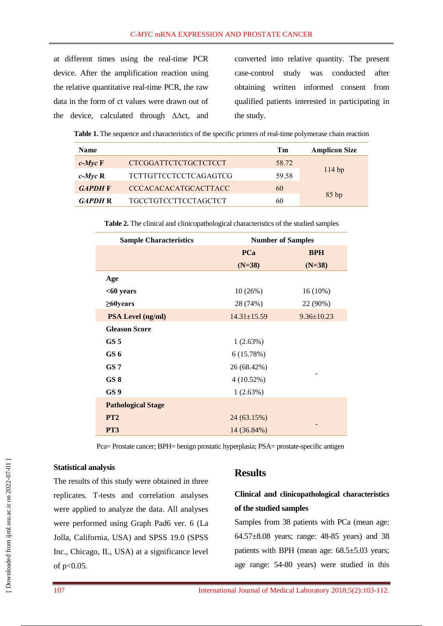at different times using the real-time PCR device. After the amplification reaction using the relative quantitative real-time PCR, the raw data in the form of ct values were drawn out of the device, calculated through ∆∆ct, and

converted into relative quantity. The present case-control study was conducted after obtaining written informed consent from qualified patients interested in participating in the study.

**Table 1.** The sequence and characteristics of the specific primers of real-time polymerase chain reaction

| <b>Name</b>        |                              | Тm    | <b>Amplicon Size</b> |
|--------------------|------------------------------|-------|----------------------|
| $c$ - <i>Myc</i> F | <b>CTCGGATTCTCTGCTCTCCT</b>  | 58.72 |                      |
| $c$ - <i>Myc</i> R | <b>TCTTGTTCCTCCTCAGAGTCG</b> | 59.58 | 114bp                |
| <b>GAPDH</b> F     | <b>CCCACACACATGCACTTACC</b>  | 60    |                      |
| <b>GAPDH R</b>     | <b>TGCCTGTCCTTCCTAGCTCT</b>  | 60    | 85bp                 |

**Table 2.** The clinical and clinicopathological characteristics of the studied samples

| <b>Sample Characteristics</b> | <b>Number of Samples</b> |                  |
|-------------------------------|--------------------------|------------------|
|                               | <b>PCa</b>               | <b>BPH</b>       |
|                               | $(N=38)$                 | $(N=38)$         |
| Age                           |                          |                  |
| $<$ 60 years                  | 10(26%)                  | $16(10\%)$       |
| $\geq 60$ years               | 28 (74%)                 | 22 (90%)         |
| <b>PSA Level (ng/ml)</b>      | $14.31 \pm 15.59$        | $9.36 \pm 10.23$ |
| <b>Gleason Score</b>          |                          |                  |
| GS <sub>5</sub>               | 1(2.63%)                 |                  |
| GS 6                          | 6(15.78%)                |                  |
| GS <sub>7</sub>               | 26 (68.42%)              |                  |
| GS 8                          | $4(10.52\%)$             |                  |
| GS <sub>9</sub>               | 1(2.63%)                 |                  |
| <b>Pathological Stage</b>     |                          |                  |
| PT <sub>2</sub>               | 24 (63.15%)              |                  |
| PT <sub>3</sub>               | 14 (36.84%)              |                  |

Pca= Prostate cancer; BPH= benign prostatic hyperplasia; PSA= prostate-specific antigen

#### **Statistical analysis**

The results of this study were obtained in three replicates. T-tests and correlation analyses were applied to analyze the data. All analyses were performed using Graph Pad6 ver. 6 (La Jolla, California, USA) and SPSS 19.0 (SPSS Inc., Chicago, IL, USA) at a significance level of p<0.05.

## **Results**

# **Clinical and clinicopathological characteristics of the studied samples**

Samples from 38 patients with PCa (mean age: 64.57±8.08 years; range: 48-85 years) and 38 patients with BPH (mean age: 68.5±5.03 years; age range: 54-80 years) were studied in this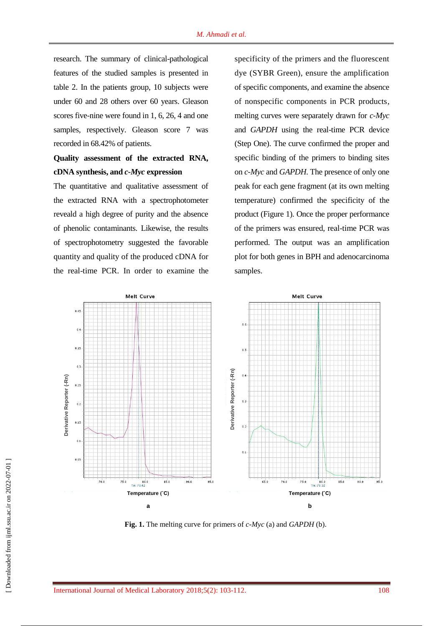research. The summary of clinical-pathological features of the studied samples is presented in table 2. In the patients group, 10 subjects were under 60 and 28 others over 60 years. Gleason scores five-nine were found in 1, 6, 26, 4 and one samples, respectively. Gleason score 7 was recorded in 68.42% of patients.

# **Quality assessment of the extracted RNA, cDNA synthesis, and** *c-Myc* **expression**

The quantitative and qualitative assessment of the extracted RNA with a spectrophotometer reveald a high degree of purity and the absence of phenolic contaminants. Likewise, the results of spectrophotometry suggested the favorable quantity and quality of the produced cDNA for the real-time PCR. In order to examine the

specificity of the primers and the fluorescent dye (SYBR Green), ensure the amplification of specific components, and examine the absence of nonspecific components in PCR products, melting curves were separately drawn for *c-Myc* and *GAPDH* using the real-time PCR device (Step One). The curve confirmed the proper and specific binding of the primers to binding sites on *c-Myc* and *GAPDH*. The presence of only one peak for each gene fragment (at its own melting temperature) confirmed the specificity of the product (Figure 1). Once the proper performance of the primers was ensured, real-time PCR was performed. The output was an amplification plot for both genes in BPH and adenocarcinoma samples.

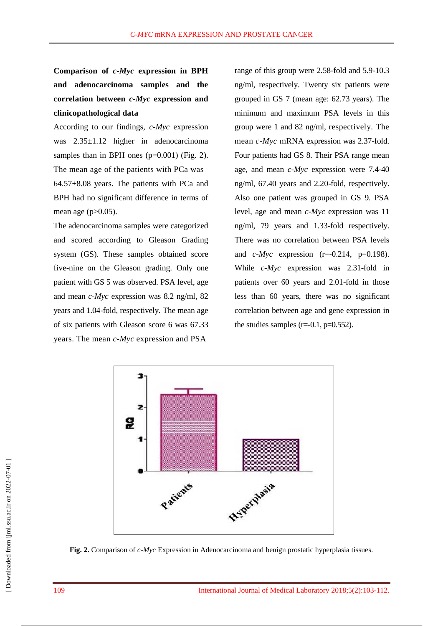**Comparison of** *c-Myc* **expression in BPH and adenocarcinoma samples and the correlation between** *c-Myc* **expression and clinicopathological data** 

According to our findings, *c-Myc* expression was 2.35±1.12 higher in adenocarcinoma samples than in BPH ones  $(p=0.001)$  (Fig. 2). The mean age of the patients with PCa was 64.57±8.08 years. The patients with PCa and BPH had no significant difference in terms of mean age  $(p>0.05)$ .

The adenocarcinoma samples were categorized and scored according to Gleason Grading system (GS). These samples obtained score five-nine on the Gleason grading. Only one patient with GS 5 was observed. PSA level, age and mean *c-Myc* expression was 8.2 ng/ml, 82 years and 1.04-fold, respectively. The mean age of six patients with Gleason score 6 was 67.33 years. The mean *c-Myc* expression and PSA

range of this group were 2.58-fold and 5.9-10.3 ng/ml, respectively. Twenty six patients were grouped in GS 7 (mean age: 62.73 years). The minimum and maximum PSA levels in this group were 1 and 82 ng/ml, respectively. The mean *c-Myc* mRNA expression was 2.37-fold. Four patients had GS 8. Their PSA range mean age, and mean *c-Myc* expression were 7.4-40 ng/ml, 67.40 years and 2.20-fold, respectively. Also one patient was grouped in GS 9. PSA level, age and mean *c-Myc* expression was 11 ng/ml, 79 years and 1.33-fold respectively. There was no correlation between PSA levels and *c-Myc* expression (r=-0.214, p=0.198). While *c-Myc* expression was 2.31-fold in patients over 60 years and 2.01-fold in those less than 60 years, there was no significant correlation between age and gene expression in the studies samples  $(r=0.1, p=0.552)$ .



**Fig. 2.** Comparison of *c-Myc* Expression in Adenocarcinoma and benign prostatic hyperplasia tissues.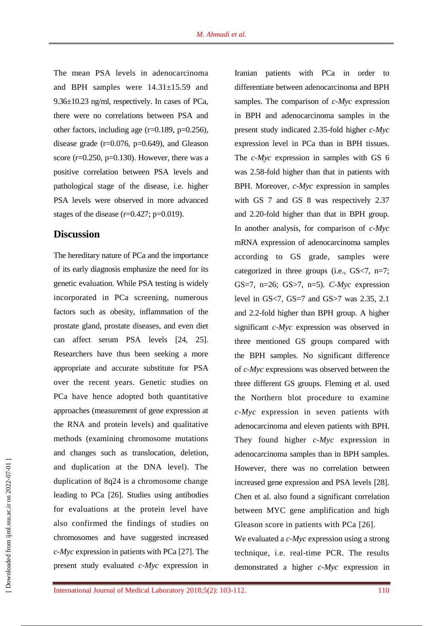The mean PSA levels in adenocarcinoma and BPH samples were 14.31±15.59 and 9.36±10.23 ng/ml, respectively. In cases of PCa, there were no correlations between PSA and other factors, including age  $(r=0.189, p=0.256)$ , disease grade  $(r=0.076, p=0.649)$ , and Gleason score ( $r=0.250$ ,  $p=0.130$ ). However, there was a positive correlation between PSA levels and pathological stage of the disease, i.e. higher PSA levels were observed in more advanced stages of the disease  $(r=0.427; p=0.019)$ .

#### **Discussion**

The hereditary nature of PCa and the importance of its early diagnosis emphasize the need for its genetic evaluation. While PSA testing is widely incorporated in PCa screening, numerous factors such as obesity, inflammation of the prostate gland, prostate diseases, and even diet can affect serum PSA levels [24, 25]. Researchers have thus been seeking a more appropriate and accurate substitute for PSA over the recent years. Genetic studies on PCa have hence adopted both quantitative approaches (measurement of gene expression at the RNA and protein levels) and qualitative methods (examining chromosome mutations and changes such as translocation, deletion, and duplication at the DNA level). The duplication of 8q24 is a chromosome change leading to PCa [26]. Studies using antibodies for evaluations at the protein level have also confirmed the findings of studies on chromosomes and have suggested increased *c-Myc* expression in patients with PCa [27]. The present study evaluated *c-Myc* expression in Iranian patients with PCa in order to differentiate between adenocarcinoma and BPH samples. The comparison of *c-Myc* expression in BPH and adenocarcinoma samples in the present study indicated 2.35-fold higher *c-Myc* expression level in PCa than in BPH tissues. The *c-Myc* expression in samples with GS 6 was 2.58-fold higher than that in patients with BPH. Moreover, *c-Myc* expression in samples with GS 7 and GS 8 was respectively 2.37 and 2.20-fold higher than that in BPH group. In another analysis, for comparison of *c-Myc* mRNA expression of adenocarcinoma samples according to GS grade, samples were categorized in three groups (i.e., GS<7, n=7; GS=7, n=26; GS>7, n=5). *C-Myc* expression level in GS<7, GS=7 and GS>7 was 2.35, 2.1 and 2.2-fold higher than BPH group. A higher significant *c-Myc* expression was observed in three mentioned GS groups compared with the BPH samples. No significant difference of *c-Myc* expressions was observed between the three different GS groups. Fleming et al. used the Northern blot procedure to examine *c-Myc* expression in seven patients with adenocarcinoma and eleven patients with BPH. They found higher *c-Myc* expression in adenocarcinoma samples than in BPH samples. However, there was no correlation between increased gene expression and PSA levels [28]. Chen et al. also found a significant correlation between MYC gene amplification and high Gleason score in patients with PCa [26]. We evaluated a *c-Myc* expression using a strong technique, i.e. real-time PCR. The results demonstrated a higher *c-Myc* expression in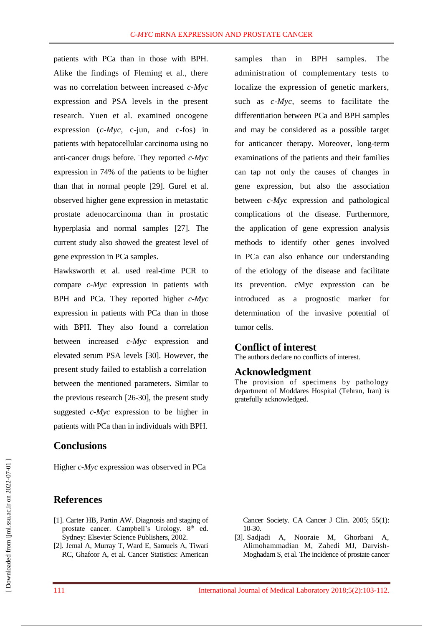patients with PCa than in those with BPH. Alike the findings of Fleming et al., there was no correlation between increased *c-Myc* expression and PSA levels in the present research. Yuen et al. examined oncogene expression (*c-Myc*, c-jun, and c-fos) in patients with hepatocellular carcinoma using no anti-cancer drugs before. They reported *c-Myc* expression in 74% of the patients to be higher than that in normal people [29]. Gurel et al. observed higher gene expression in metastatic prostate adenocarcinoma than in prostatic hyperplasia and normal samples [27]. The current study also showed the greatest level of gene expression in PCa samples.

Hawksworth et al. used real-time PCR to compare *c-Myc* expression in patients with BPH and PCa. They reported higher *c-Myc* expression in patients with PCa than in those with BPH. They also found a correlation between increased *c-Myc* expression and elevated serum PSA levels [30]. However, the present study failed to establish a correlation between the mentioned parameters. Similar to the previous research [26-30], the present study suggested *c-Myc* expression to be higher in patients with PCa than in individuals with BPH.

### **Conclusions**

Higher *c-Myc* expression was observed in PCa

# **References**

- [1]. Carter HB, Partin AW. Diagnosis and staging of prostate cancer. Campbell's Urology. 8<sup>th</sup> ed. Sydney: Elsevier Science Publishers, 2002.
- [2]. Jemal A, Murray T, Ward E, Samuels A, Tiwari RC, Ghafoor A, et al. Cancer Statistics: American

samples than in BPH samples. The administration of complementary tests to localize the expression of genetic markers, such as *c-Myc*, seems to facilitate the differentiation between PCa and BPH samples and may be considered as a possible target for anticancer therapy. Moreover, long-term examinations of the patients and their families can tap not only the causes of changes in gene expression, but also the association between *c-Myc* expression and pathological complications of the disease. Furthermore, the application of gene expression analysis methods to identify other genes involved in PCa can also enhance our understanding of the etiology of the disease and facilitate its prevention. cMyc expression can be introduced as a prognostic marker for determination of the invasive potential of tumor cells.

#### **Conflict of interest**

The authors declare no conflicts of interest.

#### **Acknowledgment**

The provision of specimens by pathology department of Moddares Hospital (Tehran, Iran) is gratefully acknowledged.

Cancer Society. CA Cancer J Clin. 2005; 55(1): 10-30.

[3]. Sadjadi A, Nooraie M, Ghorbani A, Alimohammadian M, Zahedi MJ, Darvish-Moghadam S, et al. The incidence of prostate cancer